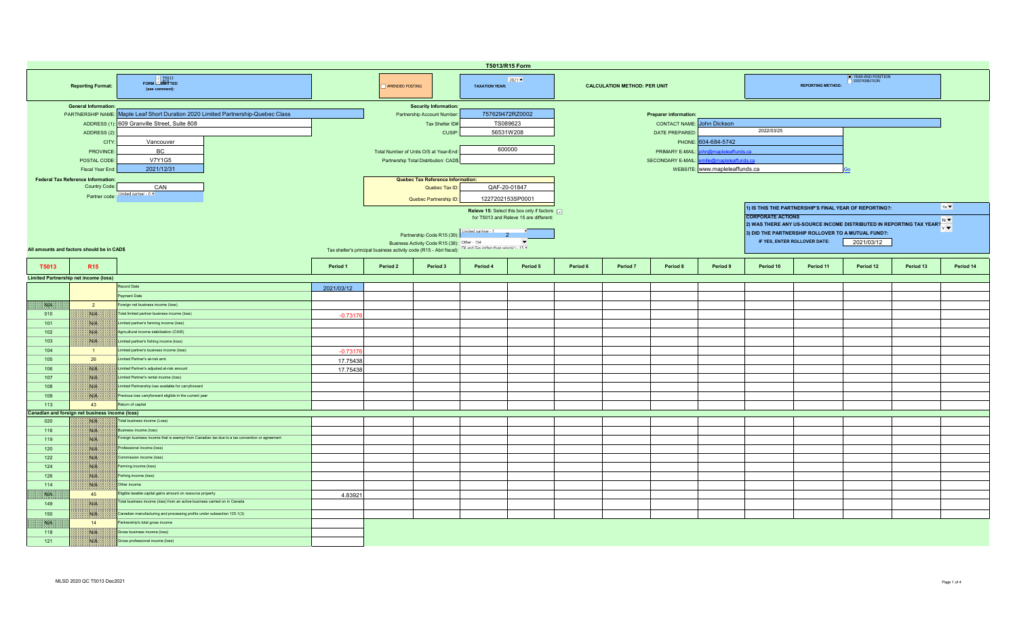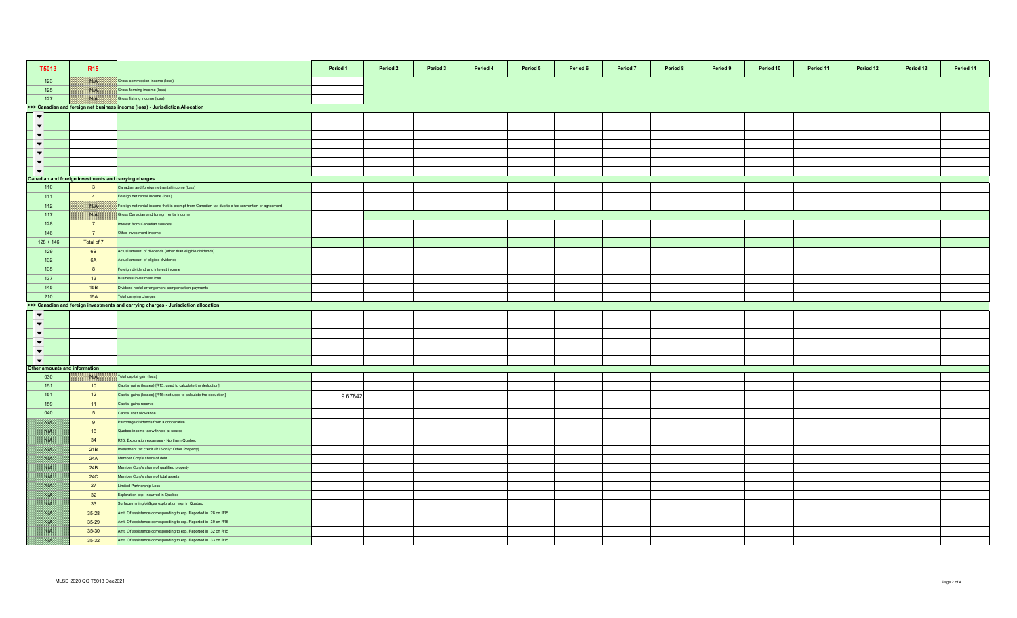| T5013                        | R <sub>15</sub>                                       |                                                                                                 | Period 1 | Period 2 | Period 3 | Period 4 | Period 5 | Period 6 | Period 7 | Period 8 | Period 9 | Period 10 | Period 11 | Period 12 | Period 13 | Period 14 |
|------------------------------|-------------------------------------------------------|-------------------------------------------------------------------------------------------------|----------|----------|----------|----------|----------|----------|----------|----------|----------|-----------|-----------|-----------|-----------|-----------|
|                              |                                                       |                                                                                                 |          |          |          |          |          |          |          |          |          |           |           |           |           |           |
| 123                          | W                                                     | Gross commission income (loss)                                                                  |          |          |          |          |          |          |          |          |          |           |           |           |           |           |
| 125                          | <b>NIB</b>                                            | Gross farming income (loss)                                                                     |          |          |          |          |          |          |          |          |          |           |           |           |           |           |
| 127                          | NIA                                                   | Gross fishing income (loss)                                                                     |          |          |          |          |          |          |          |          |          |           |           |           |           |           |
| $\blacktriangledown$         |                                                       | >>> Canadian and foreign net business income (loss) - Jurisdiction Allocation                   |          |          |          |          |          |          |          |          |          |           |           |           |           |           |
| $\blacktriangledown$         |                                                       |                                                                                                 |          |          |          |          |          |          |          |          |          |           |           |           |           |           |
| $\blacktriangledown$         |                                                       |                                                                                                 |          |          |          |          |          |          |          |          |          |           |           |           |           |           |
| $\blacktriangledown$         |                                                       |                                                                                                 |          |          |          |          |          |          |          |          |          |           |           |           |           |           |
| $\blacktriangledown$         |                                                       |                                                                                                 |          |          |          |          |          |          |          |          |          |           |           |           |           |           |
| $\blacktriangledown$         |                                                       |                                                                                                 |          |          |          |          |          |          |          |          |          |           |           |           |           |           |
| $\blacktriangledown$         |                                                       |                                                                                                 |          |          |          |          |          |          |          |          |          |           |           |           |           |           |
|                              | Canadian and foreign investments and carrying charges |                                                                                                 |          |          |          |          |          |          |          |          |          |           |           |           |           |           |
| 110                          | $\overline{\mathbf{3}}$                               | Canadian and foreign net rental income (loss)                                                   |          |          |          |          |          |          |          |          |          |           |           |           |           |           |
| 111                          | $\overline{4}$                                        | Foreign net rental income (loss)                                                                |          |          |          |          |          |          |          |          |          |           |           |           |           |           |
| 112                          | NA                                                    | Foreign net rental income that is exempt from Canadian tax due to a tax convention or agreement |          |          |          |          |          |          |          |          |          |           |           |           |           |           |
| 117                          | <b>Bible</b>                                          | Gross Canadian and foreign rental income                                                        |          |          |          |          |          |          |          |          |          |           |           |           |           |           |
| 128                          | $\overline{7}$                                        | nterest from Canadian sources                                                                   |          |          |          |          |          |          |          |          |          |           |           |           |           |           |
| 146                          | 7                                                     | Other investment income                                                                         |          |          |          |          |          |          |          |          |          |           |           |           |           |           |
| $128 + 146$                  | Total of 7                                            |                                                                                                 |          |          |          |          |          |          |          |          |          |           |           |           |           |           |
| 129                          | 6 <b>B</b>                                            | Actual amount of dividends (other than eligible dividends)                                      |          |          |          |          |          |          |          |          |          |           |           |           |           |           |
| 132                          | 6A                                                    | Actual amount of eligible dividends                                                             |          |          |          |          |          |          |          |          |          |           |           |           |           |           |
| 135                          | 8                                                     | oreign dividend and interest income                                                             |          |          |          |          |          |          |          |          |          |           |           |           |           |           |
| 137                          | 13                                                    | susiness investment loss                                                                        |          |          |          |          |          |          |          |          |          |           |           |           |           |           |
| 145                          | 15B                                                   | Oividend rental arrangement compensation payments                                               |          |          |          |          |          |          |          |          |          |           |           |           |           |           |
| 210                          | <b>15A</b>                                            | Total carrying charges                                                                          |          |          |          |          |          |          |          |          |          |           |           |           |           |           |
|                              |                                                       | >>> Canadian and foreign investments and carrying charges - Jurisdiction allocation             |          |          |          |          |          |          |          |          |          |           |           |           |           |           |
| $\blacktriangledown$         |                                                       |                                                                                                 |          |          |          |          |          |          |          |          |          |           |           |           |           |           |
| $\blacktriangledown$         |                                                       |                                                                                                 |          |          |          |          |          |          |          |          |          |           |           |           |           |           |
| $\overline{\phantom{a}}$     |                                                       |                                                                                                 |          |          |          |          |          |          |          |          |          |           |           |           |           |           |
| $\blacktriangledown$         |                                                       |                                                                                                 |          |          |          |          |          |          |          |          |          |           |           |           |           |           |
| $\overline{\phantom{0}}$     |                                                       |                                                                                                 |          |          |          |          |          |          |          |          |          |           |           |           |           |           |
| $\blacktriangledown$         |                                                       |                                                                                                 |          |          |          |          |          |          |          |          |          |           |           |           |           |           |
| ther amounts and information |                                                       |                                                                                                 |          |          |          |          |          |          |          |          |          |           |           |           |           |           |
| 030                          | NIA                                                   | Total capital gain (loss)                                                                       |          |          |          |          |          |          |          |          |          |           |           |           |           |           |
| 151                          | 10                                                    | Capital gains (losses) [R15: used to calculate the deduction]                                   |          |          |          |          |          |          |          |          |          |           |           |           |           |           |
| 151                          | 12                                                    | Capital gains (losses) [R15: not used to calculate the deduction]                               | 9.67842  |          |          |          |          |          |          |          |          |           |           |           |           |           |
| 159                          | 11                                                    | Capital gains reserve                                                                           |          |          |          |          |          |          |          |          |          |           |           |           |           |           |
| 040                          | 5 <sub>5</sub>                                        | Capital cost allowance                                                                          |          |          |          |          |          |          |          |          |          |           |           |           |           |           |
| NA                           | 9                                                     | Patronage dividends from a cooperative                                                          |          |          |          |          |          |          |          |          |          |           |           |           |           |           |
| SSB.                         | 16                                                    | Quebec income tax withheld at source                                                            |          |          |          |          |          |          |          |          |          |           |           |           |           |           |
| WB.                          | 34                                                    | R15: Exploration expenses - Northern Quebec                                                     |          |          |          |          |          |          |          |          |          |           |           |           |           |           |
| 水田                           | 21B                                                   | nvestment tax credit (R15 only: Other Property)                                                 |          |          |          |          |          |          |          |          |          |           |           |           |           |           |
| <b>SAFE</b>                  | 24A                                                   | Member Corp's share of debt                                                                     |          |          |          |          |          |          |          |          |          |           |           |           |           |           |
| S.B                          | 24B                                                   | Member Corp's share of qualified property                                                       |          |          |          |          |          |          |          |          |          |           |           |           |           |           |
| <b>SALE</b>                  | <b>24C</b>                                            | Member Corp's share of total assets                                                             |          |          |          |          |          |          |          |          |          |           |           |           |           |           |
| <b>SIE</b>                   | 27                                                    | imited Partnership Loss                                                                         |          |          |          |          |          |          |          |          |          |           |           |           |           |           |
| SVN.                         | 32                                                    | Exploration exp. Incurred in Quebec                                                             |          |          |          |          |          |          |          |          |          |           |           |           |           |           |
| NP                           | 33                                                    | Surface mining/oil&gas exploration exp. in Quebec                                               |          |          |          |          |          |          |          |          |          |           |           |           |           |           |
| NB.                          | $35 - 28$                                             | Amt. Of assistance corresponding to exp. Reported in 28 on R15                                  |          |          |          |          |          |          |          |          |          |           |           |           |           |           |
| Nik                          | 35-29                                                 | Amt. Of assistance corresponding to exp. Reported in 30 on R15                                  |          |          |          |          |          |          |          |          |          |           |           |           |           |           |
| <b>SAFE</b>                  | 35-30                                                 | Amt. Of assistance corresponding to exp. Reported in 32 on R15                                  |          |          |          |          |          |          |          |          |          |           |           |           |           |           |
| SS                           | 35-32                                                 | Amt. Of assistance corresponding to exp. Reported in 33 on R15                                  |          |          |          |          |          |          |          |          |          |           |           |           |           |           |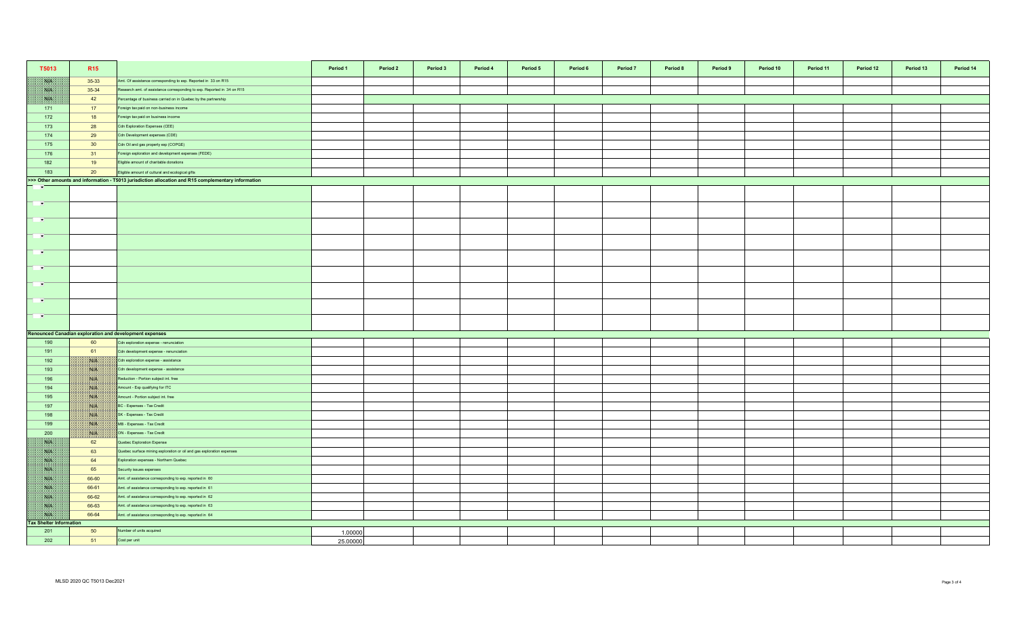| T5013                          | R <sub>15</sub>                                                                                                                 |                                                                                  | Period 1 | Period 2 | Period 3 | Period 4 | Period 5 | Period 6 | Period 7 | Period 8 | Period 9 | Period 10 | Period 11 | Period 12 | Period 13 | Period 14 |
|--------------------------------|---------------------------------------------------------------------------------------------------------------------------------|----------------------------------------------------------------------------------|----------|----------|----------|----------|----------|----------|----------|----------|----------|-----------|-----------|-----------|-----------|-----------|
| NK                             | 35-33                                                                                                                           | Amt. Of assistance corresponding to exp. Reported in 33 on R15                   |          |          |          |          |          |          |          |          |          |           |           |           |           |           |
| WK                             | 35-34                                                                                                                           | Research amt. of assistance corresponding to exp. Reported in 34 on R15          |          |          |          |          |          |          |          |          |          |           |           |           |           |           |
| NB                             | 42                                                                                                                              | Percentage of business carried on in Quebec by the partnership                   |          |          |          |          |          |          |          |          |          |           |           |           |           |           |
| 171                            | 17                                                                                                                              | Foreign tax paid on non-business income                                          |          |          |          |          |          |          |          |          |          |           |           |           |           |           |
| 172                            | 18                                                                                                                              | Foreign tax paid on business income                                              |          |          |          |          |          |          |          |          |          |           |           |           |           |           |
| 173                            | 28                                                                                                                              | Cdn Exploration Expenses (CEE)                                                   |          |          |          |          |          |          |          |          |          |           |           |           |           |           |
| 174                            | 29                                                                                                                              | Cdn Development expenses (CDE)                                                   |          |          |          |          |          |          |          |          |          |           |           |           |           |           |
| 175                            | 30 <sup>°</sup>                                                                                                                 | Cdn Oil and gas property exp (COPGE)                                             |          |          |          |          |          |          |          |          |          |           |           |           |           |           |
| 176                            | 31                                                                                                                              | Foreign exploration and development expenses (FEDE)                              |          |          |          |          |          |          |          |          |          |           |           |           |           |           |
| 182                            | 19                                                                                                                              | Eligible amount of charitable donations                                          |          |          |          |          |          |          |          |          |          |           |           |           |           |           |
| 183                            | 20                                                                                                                              | Eligible amount of cultural and ecological gifts                                 |          |          |          |          |          |          |          |          |          |           |           |           |           |           |
|                                | >>> Other amounts and information - T5013 jurisdiction allocation and R15 complementary information<br>$\overline{\phantom{a}}$ |                                                                                  |          |          |          |          |          |          |          |          |          |           |           |           |           |           |
|                                |                                                                                                                                 |                                                                                  |          |          |          |          |          |          |          |          |          |           |           |           |           |           |
| $\overline{\phantom{a}}$       |                                                                                                                                 |                                                                                  |          |          |          |          |          |          |          |          |          |           |           |           |           |           |
| <b>PARTS</b>                   |                                                                                                                                 |                                                                                  |          |          |          |          |          |          |          |          |          |           |           |           |           |           |
| $\blacksquare$                 |                                                                                                                                 |                                                                                  |          |          |          |          |          |          |          |          |          |           |           |           |           |           |
| $\overline{\phantom{a}}$       |                                                                                                                                 |                                                                                  |          |          |          |          |          |          |          |          |          |           |           |           |           |           |
| <b>P</b>                       |                                                                                                                                 |                                                                                  |          |          |          |          |          |          |          |          |          |           |           |           |           |           |
| <b>F</b>                       |                                                                                                                                 |                                                                                  |          |          |          |          |          |          |          |          |          |           |           |           |           |           |
|                                |                                                                                                                                 |                                                                                  |          |          |          |          |          |          |          |          |          |           |           |           |           |           |
| $\blacksquare$                 |                                                                                                                                 |                                                                                  |          |          |          |          |          |          |          |          |          |           |           |           |           |           |
|                                |                                                                                                                                 |                                                                                  |          |          |          |          |          |          |          |          |          |           |           |           |           |           |
|                                |                                                                                                                                 | <b>Renounced Canadian exploration and development expenses</b>                   |          |          |          |          |          |          |          |          |          |           |           |           |           |           |
| 190<br>191                     | 60<br>61                                                                                                                        | Cdn exploration expense - renunciation<br>Cdn development expense - renunciation |          |          |          |          |          |          |          |          |          |           |           |           |           |           |
| 192                            | 1830er                                                                                                                          | Cdn exploration expense - assistance                                             |          |          |          |          |          |          |          |          |          |           |           |           |           |           |
| 193                            | <b>NIA</b>                                                                                                                      | Cdn development expense - assistance                                             |          |          |          |          |          |          |          |          |          |           |           |           |           |           |
| 196                            | <b>NIK</b>                                                                                                                      | Reduction - Portion subject int. free                                            |          |          |          |          |          |          |          |          |          |           |           |           |           |           |
| 194                            | With                                                                                                                            | Amount - Exp qualifying for ITC                                                  |          |          |          |          |          |          |          |          |          |           |           |           |           |           |
| 195                            | NIA                                                                                                                             | Amount - Portion subject int. free                                               |          |          |          |          |          |          |          |          |          |           |           |           |           |           |
| 197                            | NA                                                                                                                              | BC - Expenses - Tax Credit                                                       |          |          |          |          |          |          |          |          |          |           |           |           |           |           |
| 198                            | NA                                                                                                                              | SK - Expenses - Tax Credit                                                       |          |          |          |          |          |          |          |          |          |           |           |           |           |           |
| 199                            | NG PA                                                                                                                           | MB - Expenses - Tax Credit                                                       |          |          |          |          |          |          |          |          |          |           |           |           |           |           |
| 200                            | <b>ISLA</b>                                                                                                                     | ON - Expenses - Tax Credit                                                       |          |          |          |          |          |          |          |          |          |           |           |           |           |           |
| WE                             | 62                                                                                                                              | Quebec Exploration Expense                                                       |          |          |          |          |          |          |          |          |          |           |           |           |           |           |
| NK                             | 63                                                                                                                              | Quebec surface mining exploration or oil and gas exploration expenses            |          |          |          |          |          |          |          |          |          |           |           |           |           |           |
| <b>SAFE</b>                    | 64                                                                                                                              | Exploration expenses - Northern Quebec                                           |          |          |          |          |          |          |          |          |          |           |           |           |           |           |
| <b>SHE</b>                     | 65                                                                                                                              | Security issues expenses                                                         |          |          |          |          |          |          |          |          |          |           |           |           |           |           |
| <b>NIA</b>                     | 66-60                                                                                                                           | Amt. of assistance corresponding to exp. reported in 60                          |          |          |          |          |          |          |          |          |          |           |           |           |           |           |
| <b>SALE</b>                    | 66-61                                                                                                                           | Amt. of assistance corresponding to exp. reported in 61                          |          |          |          |          |          |          |          |          |          |           |           |           |           |           |
| <b>BA</b>                      | 66-62                                                                                                                           | Amt. of assistance corresponding to exp. reported in 62                          |          |          |          |          |          |          |          |          |          |           |           |           |           |           |
| <b>SUP</b>                     | 66-63                                                                                                                           | Amt. of assistance corresponding to exp. reported in 63                          |          |          |          |          |          |          |          |          |          |           |           |           |           |           |
| WE                             | 66-64                                                                                                                           | Amt. of assistance corresponding to exp. reported in 64                          |          |          |          |          |          |          |          |          |          |           |           |           |           |           |
| <b>Tax Shelter Information</b> |                                                                                                                                 |                                                                                  |          |          |          |          |          |          |          |          |          |           |           |           |           |           |
| 201                            | 50                                                                                                                              | Number of units acquired                                                         | 1.00000  |          |          |          |          |          |          |          |          |           |           |           |           |           |
| 202                            | 51                                                                                                                              | Cost per unit                                                                    | 25.00000 |          |          |          |          |          |          |          |          |           |           |           |           |           |